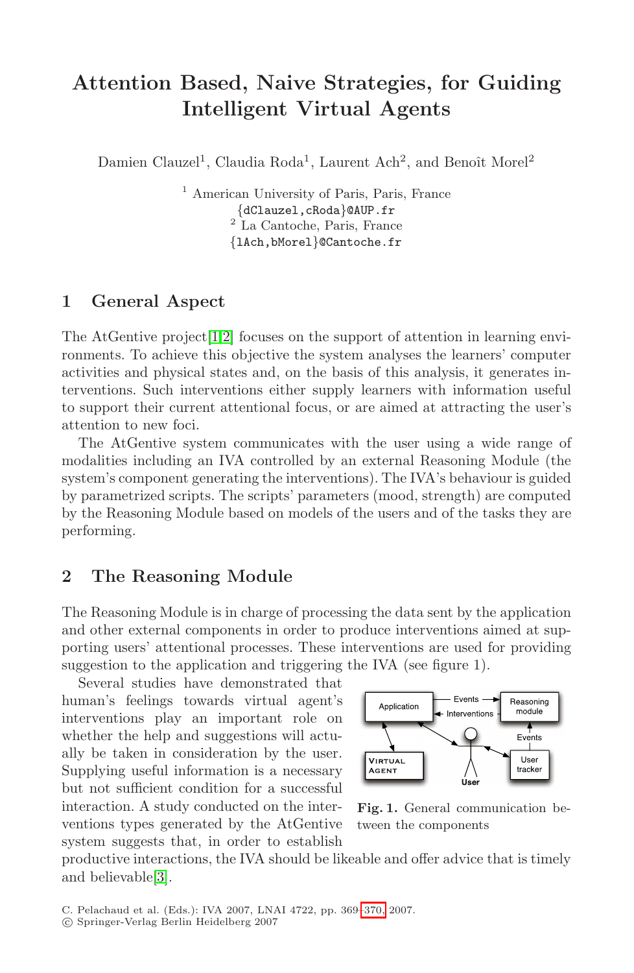# **Attention Based, Naive Strategies, for Guiding Intelligent Virtual Agents**

Damien Clauzel<sup>1</sup>, Claudia Roda<sup>1</sup>, Laurent Ach<sup>2</sup>, and Benoît Morel<sup>2</sup>

<sup>1</sup> American University of Paris, Paris, France {dClauzel,cRoda}@AUP.fr <sup>2</sup> La Cantoche, Paris, France {lAch,bMorel}@Cantoche.fr

#### **1 General Aspect**

The AtGentive project  $[1,2]$  $[1,2]$  focuses on the support of attention in learning environments. To achieve this objective the system analyses the learners' computer activities and physical states and, on the basis of this analysis, it generates interventions. Such interventions either supply learners with information useful to support their current attentional focus, or are aimed at attracting the user's attention to new foci.

The AtGentive system communicates with the user using a wide range of modalities including an IVA controlled by an external Reasoning Module (the system's component generating the interventions). The IVA's behaviour is guided by parametrized scripts. The scripts' parameters (mood, strength) are computed by the Reasoning Module based on models of the users and of the tasks they are performing.

#### **2 The Reasoning Module**

The Reasoning Module is in charge of processing the data sent by the application and other external components in order to produce interventions aimed at supporting users' attentional processes. These interventions are used for providing suggestion to the application and triggering the IVA (see figure 1).

Several studies have demonstrated that human's feelings towards virtual agent's interventions play an important role on whether the help and suggestions will actually be taken in consideration by the user. Supplying useful information is a necessary but not sufficient condition for a successful interaction. A study conducted on the interventions types generated by the AtGentive system suggests that, in order to establish



**Fig. 1.** General communication between the components

productive interactions, the IVA should be likeable and offer advice that is timely and believable[\[3\]](#page-1-2).

<sup>-</sup>c Springer-Verlag Berlin Heidelberg 2007